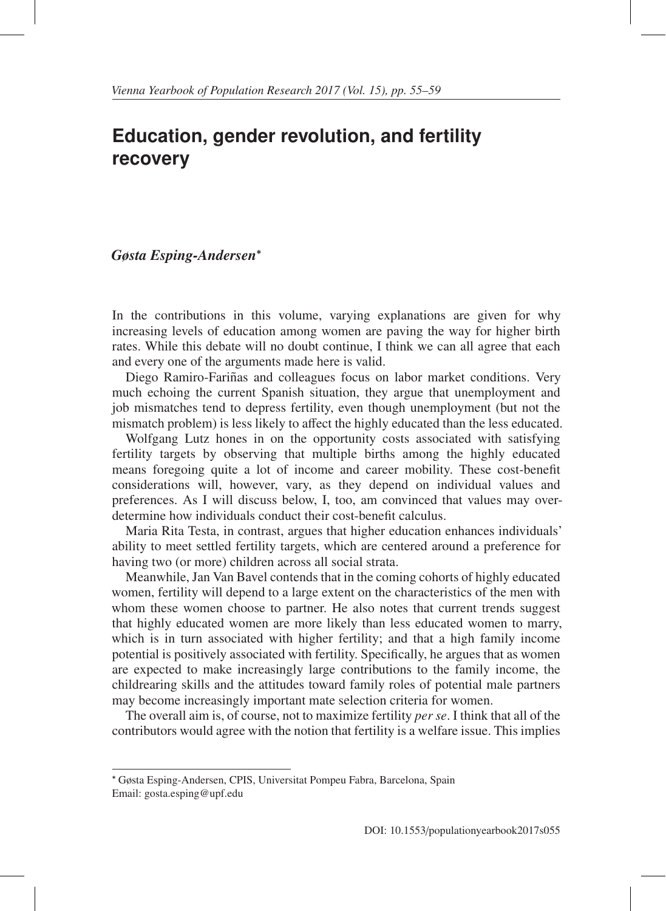## **Education, gender revolution, and fertility recovery**

## *Gøsta Esping-Andersen*<sup>∗</sup>

In the contributions in this volume, varying explanations are given for why increasing levels of education among women are paving the way for higher birth rates. While this debate will no doubt continue, I think we can all agree that each and every one of the arguments made here is valid.

Diego Ramiro-Fariñas and colleagues focus on labor market conditions. Very much echoing the current Spanish situation, they argue that unemployment and job mismatches tend to depress fertility, even though unemployment (but not the mismatch problem) is less likely to affect the highly educated than the less educated.

Wolfgang Lutz hones in on the opportunity costs associated with satisfying fertility targets by observing that multiple births among the highly educated means foregoing quite a lot of income and career mobility. These cost-benefit considerations will, however, vary, as they depend on individual values and preferences. As I will discuss below, I, too, am convinced that values may overdetermine how individuals conduct their cost-benefit calculus.

Maria Rita Testa, in contrast, argues that higher education enhances individuals' ability to meet settled fertility targets, which are centered around a preference for having two (or more) children across all social strata.

Meanwhile, Jan Van Bavel contends that in the coming cohorts of highly educated women, fertility will depend to a large extent on the characteristics of the men with whom these women choose to partner. He also notes that current trends suggest that highly educated women are more likely than less educated women to marry, which is in turn associated with higher fertility; and that a high family income potential is positively associated with fertility. Specifically, he argues that as women are expected to make increasingly large contributions to the family income, the childrearing skills and the attitudes toward family roles of potential male partners may become increasingly important mate selection criteria for women.

The overall aim is, of course, not to maximize fertility *per se*. I think that all of the contributors would agree with the notion that fertility is a welfare issue. This implies

<sup>∗</sup> Gøsta Esping-Andersen, CPIS, Universitat Pompeu Fabra, Barcelona, Spain Email: gosta.esping@upf.edu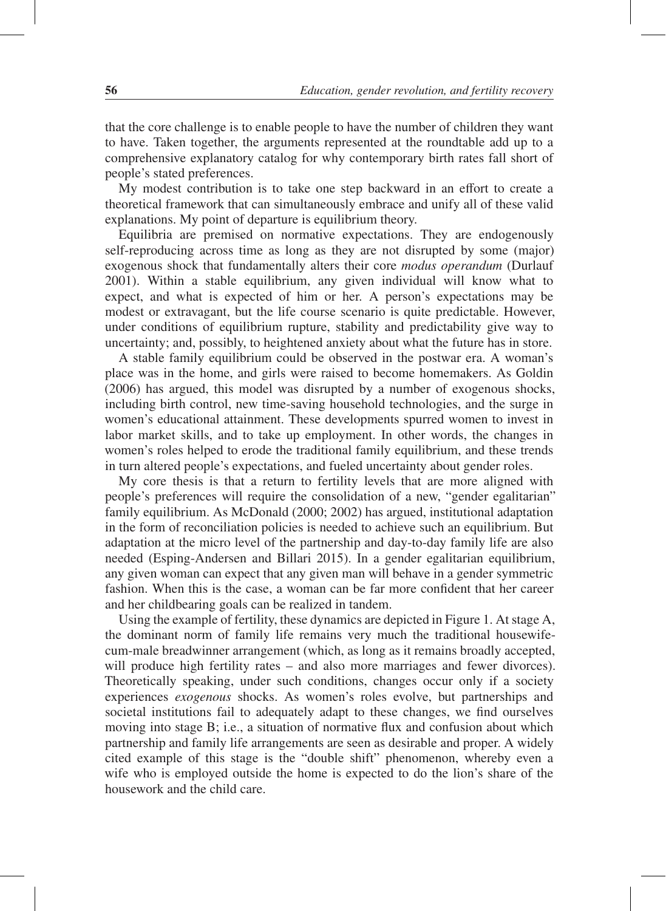that the core challenge is to enable people to have the number of children they want to have. Taken together, the arguments represented at the roundtable add up to a comprehensive explanatory catalog for why contemporary birth rates fall short of people's stated preferences.

My modest contribution is to take one step backward in an effort to create a theoretical framework that can simultaneously embrace and unify all of these valid explanations. My point of departure is equilibrium theory.

Equilibria are premised on normative expectations. They are endogenously self-reproducing across time as long as they are not disrupted by some (major) exogenous shock that fundamentally alters their core *modus operandum* (Durlauf 2001). Within a stable equilibrium, any given individual will know what to expect, and what is expected of him or her. A person's expectations may be modest or extravagant, but the life course scenario is quite predictable. However, under conditions of equilibrium rupture, stability and predictability give way to uncertainty; and, possibly, to heightened anxiety about what the future has in store.

A stable family equilibrium could be observed in the postwar era. A woman's place was in the home, and girls were raised to become homemakers. As Goldin (2006) has argued, this model was disrupted by a number of exogenous shocks, including birth control, new time-saving household technologies, and the surge in women's educational attainment. These developments spurred women to invest in labor market skills, and to take up employment. In other words, the changes in women's roles helped to erode the traditional family equilibrium, and these trends in turn altered people's expectations, and fueled uncertainty about gender roles.

My core thesis is that a return to fertility levels that are more aligned with people's preferences will require the consolidation of a new, "gender egalitarian" family equilibrium. As McDonald (2000; 2002) has argued, institutional adaptation in the form of reconciliation policies is needed to achieve such an equilibrium. But adaptation at the micro level of the partnership and day-to-day family life are also needed (Esping-Andersen and Billari 2015). In a gender egalitarian equilibrium, any given woman can expect that any given man will behave in a gender symmetric fashion. When this is the case, a woman can be far more confident that her career and her childbearing goals can be realized in tandem.

Using the example of fertility, these dynamics are depicted in Figure 1. At stage A, the dominant norm of family life remains very much the traditional housewifecum-male breadwinner arrangement (which, as long as it remains broadly accepted, will produce high fertility rates – and also more marriages and fewer divorces). Theoretically speaking, under such conditions, changes occur only if a society experiences *exogenous* shocks. As women's roles evolve, but partnerships and societal institutions fail to adequately adapt to these changes, we find ourselves moving into stage B; i.e., a situation of normative flux and confusion about which partnership and family life arrangements are seen as desirable and proper. A widely cited example of this stage is the "double shift" phenomenon, whereby even a wife who is employed outside the home is expected to do the lion's share of the housework and the child care.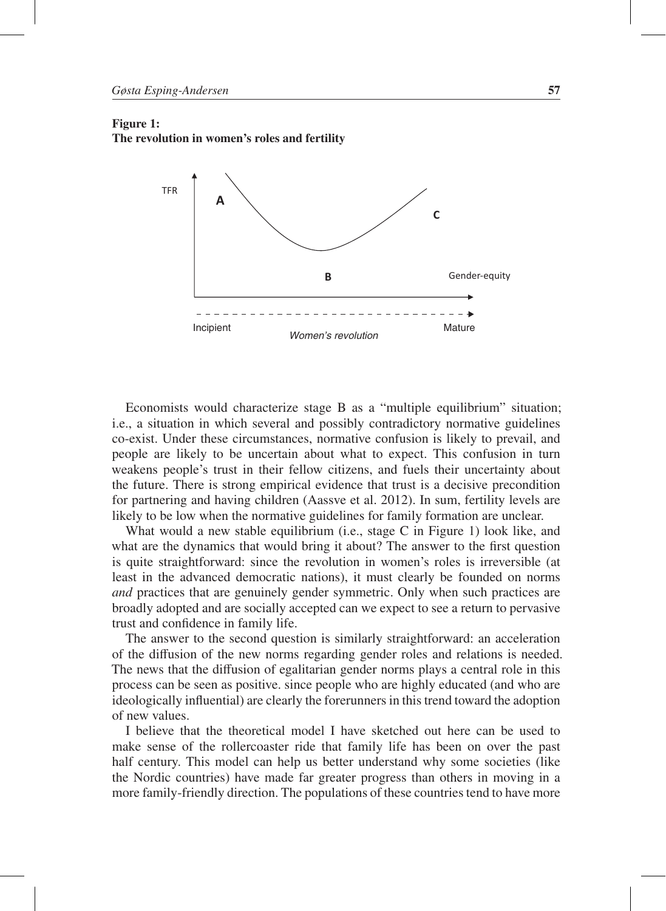## Figure 1: The revolution in women's roles and fertility



Economists would characterize stage B as a "multiple equilibrium" situation; i.e., a situation in which several and possibly contradictory normative guidelines co-exist. Under these circumstances, normative confusion is likely to prevail, and people are likely to be uncertain about what to expect. This confusion in turn weakens people's trust in their fellow citizens, and fuels their uncertainty about the future. There is strong empirical evidence that trust is a decisive precondition for partnering and having children (Aassve et al. 2012). In sum, fertility levels are likely to be low when the normative guidelines for family formation are unclear.

What would a new stable equilibrium (i.e., stage C in Figure 1) look like, and what are the dynamics that would bring it about? The answer to the first question is quite straightforward: since the revolution in women's roles is irreversible (at least in the advanced democratic nations), it must clearly be founded on norms *and* practices that are genuinely gender symmetric. Only when such practices are broadly adopted and are socially accepted can we expect to see a return to pervasive trust and confidence in family life.

The answer to the second question is similarly straightforward: an acceleration of the diffusion of the new norms regarding gender roles and relations is needed. The news that the diffusion of egalitarian gender norms plays a central role in this process can be seen as positive. since people who are highly educated (and who are ideologically influential) are clearly the forerunners in this trend toward the adoption of new values.

I believe that the theoretical model I have sketched out here can be used to make sense of the rollercoaster ride that family life has been on over the past half century. This model can help us better understand why some societies (like the Nordic countries) have made far greater progress than others in moving in a more family-friendly direction. The populations of these countries tend to have more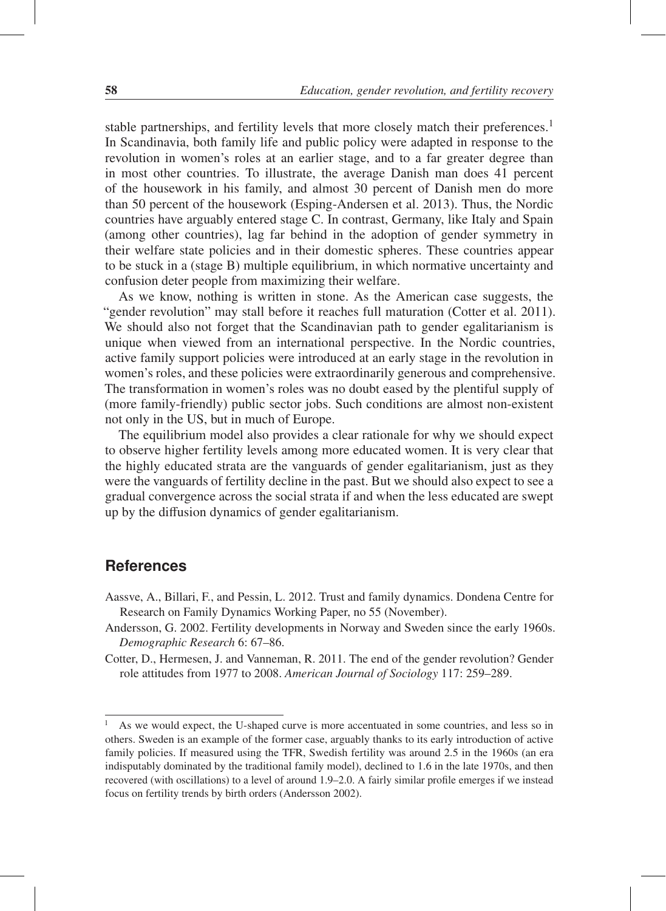stable partnerships, and fertility levels that more closely match their preferences.<sup>1</sup> In Scandinavia, both family life and public policy were adapted in response to the revolution in women's roles at an earlier stage, and to a far greater degree than in most other countries. To illustrate, the average Danish man does 41 percent of the housework in his family, and almost 30 percent of Danish men do more than 50 percent of the housework (Esping-Andersen et al. 2013). Thus, the Nordic countries have arguably entered stage C. In contrast, Germany, like Italy and Spain (among other countries), lag far behind in the adoption of gender symmetry in their welfare state policies and in their domestic spheres. These countries appear to be stuck in a (stage B) multiple equilibrium, in which normative uncertainty and confusion deter people from maximizing their welfare.

As we know, nothing is written in stone. As the American case suggests, the "gender revolution" may stall before it reaches full maturation (Cotter et al. 2011). We should also not forget that the Scandinavian path to gender egalitarianism is unique when viewed from an international perspective. In the Nordic countries, active family support policies were introduced at an early stage in the revolution in women's roles, and these policies were extraordinarily generous and comprehensive. The transformation in women's roles was no doubt eased by the plentiful supply of (more family-friendly) public sector jobs. Such conditions are almost non-existent not only in the US, but in much of Europe.

The equilibrium model also provides a clear rationale for why we should expect to observe higher fertility levels among more educated women. It is very clear that the highly educated strata are the vanguards of gender egalitarianism, just as they were the vanguards of fertility decline in the past. But we should also expect to see a gradual convergence across the social strata if and when the less educated are swept up by the diffusion dynamics of gender egalitarianism.

## **References**

- Aassve, A., Billari, F., and Pessin, L. 2012. Trust and family dynamics. Dondena Centre for Research on Family Dynamics Working Paper, no 55 (November).
- Andersson, G. 2002. Fertility developments in Norway and Sweden since the early 1960s. *Demographic Research* 6: 67–86.
- Cotter, D., Hermesen, J. and Vanneman, R. 2011. The end of the gender revolution? Gender role attitudes from 1977 to 2008. *American Journal of Sociology* 117: 259–289.

As we would expect, the U-shaped curve is more accentuated in some countries, and less so in others. Sweden is an example of the former case, arguably thanks to its early introduction of active family policies. If measured using the TFR, Swedish fertility was around 2.5 in the 1960s (an era indisputably dominated by the traditional family model), declined to 1.6 in the late 1970s, and then recovered (with oscillations) to a level of around 1.9–2.0. A fairly similar profile emerges if we instead focus on fertility trends by birth orders (Andersson 2002).